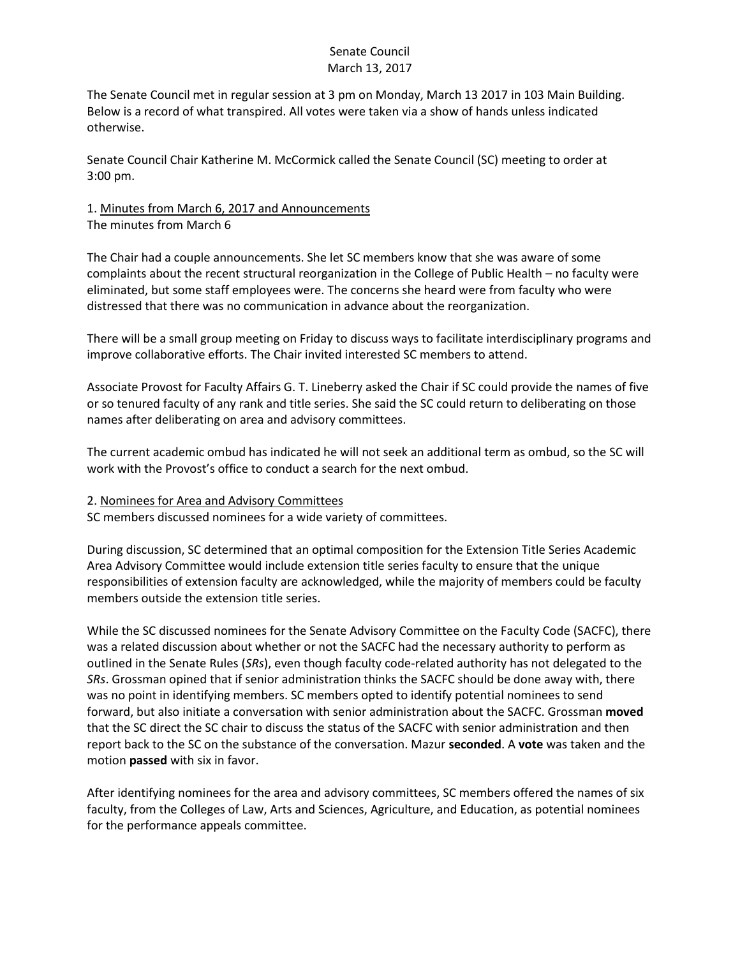## Senate Council March 13, 2017

The Senate Council met in regular session at 3 pm on Monday, March 13 2017 in 103 Main Building. Below is a record of what transpired. All votes were taken via a show of hands unless indicated otherwise.

Senate Council Chair Katherine M. McCormick called the Senate Council (SC) meeting to order at 3:00 pm.

## 1. Minutes from March 6, 2017 and Announcements The minutes from March 6

The Chair had a couple announcements. She let SC members know that she was aware of some complaints about the recent structural reorganization in the College of Public Health – no faculty were eliminated, but some staff employees were. The concerns she heard were from faculty who were distressed that there was no communication in advance about the reorganization.

There will be a small group meeting on Friday to discuss ways to facilitate interdisciplinary programs and improve collaborative efforts. The Chair invited interested SC members to attend.

Associate Provost for Faculty Affairs G. T. Lineberry asked the Chair if SC could provide the names of five or so tenured faculty of any rank and title series. She said the SC could return to deliberating on those names after deliberating on area and advisory committees.

The current academic ombud has indicated he will not seek an additional term as ombud, so the SC will work with the Provost's office to conduct a search for the next ombud.

## 2. Nominees for Area and Advisory Committees

SC members discussed nominees for a wide variety of committees.

During discussion, SC determined that an optimal composition for the Extension Title Series Academic Area Advisory Committee would include extension title series faculty to ensure that the unique responsibilities of extension faculty are acknowledged, while the majority of members could be faculty members outside the extension title series.

While the SC discussed nominees for the Senate Advisory Committee on the Faculty Code (SACFC), there was a related discussion about whether or not the SACFC had the necessary authority to perform as outlined in the Senate Rules (*SRs*), even though faculty code-related authority has not delegated to the *SRs*. Grossman opined that if senior administration thinks the SACFC should be done away with, there was no point in identifying members. SC members opted to identify potential nominees to send forward, but also initiate a conversation with senior administration about the SACFC. Grossman **moved** that the SC direct the SC chair to discuss the status of the SACFC with senior administration and then report back to the SC on the substance of the conversation. Mazur **seconded**. A **vote** was taken and the motion **passed** with six in favor.

After identifying nominees for the area and advisory committees, SC members offered the names of six faculty, from the Colleges of Law, Arts and Sciences, Agriculture, and Education, as potential nominees for the performance appeals committee.